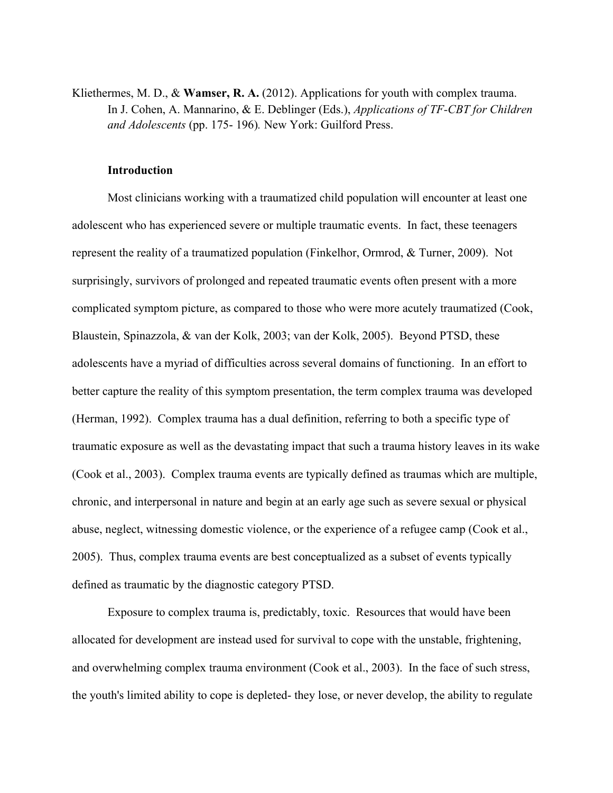Kliethermes, M. D., & **Wamser, R. A.** (2012). Applications for youth with complex trauma. In J. Cohen, A. Mannarino, & E. Deblinger (Eds.), *Applications of TF-CBT for Children and Adolescents* (pp. 175- 196)*.* New York: Guilford Press.

#### **Introduction**

Most clinicians working with a traumatized child population will encounter at least one adolescent who has experienced severe or multiple traumatic events. In fact, these teenagers represent the reality of a traumatized population (Finkelhor, Ormrod, & Turner, 2009). Not surprisingly, survivors of prolonged and repeated traumatic events often present with a more complicated symptom picture, as compared to those who were more acutely traumatized (Cook, Blaustein, Spinazzola, & van der Kolk, 2003; van der Kolk, 2005). Beyond PTSD, these adolescents have a myriad of difficulties across several domains of functioning. In an effort to better capture the reality of this symptom presentation, the term complex trauma was developed (Herman, 1992). Complex trauma has a dual definition, referring to both a specific type of traumatic exposure as well as the devastating impact that such a trauma history leaves in its wake (Cook et al., 2003). Complex trauma events are typically defined as traumas which are multiple, chronic, and interpersonal in nature and begin at an early age such as severe sexual or physical abuse, neglect, witnessing domestic violence, or the experience of a refugee camp (Cook et al., 2005). Thus, complex trauma events are best conceptualized as a subset of events typically defined as traumatic by the diagnostic category PTSD.

Exposure to complex trauma is, predictably, toxic. Resources that would have been allocated for development are instead used for survival to cope with the unstable, frightening, and overwhelming complex trauma environment (Cook et al., 2003). In the face of such stress, the youth's limited ability to cope is depleted- they lose, or never develop, the ability to regulate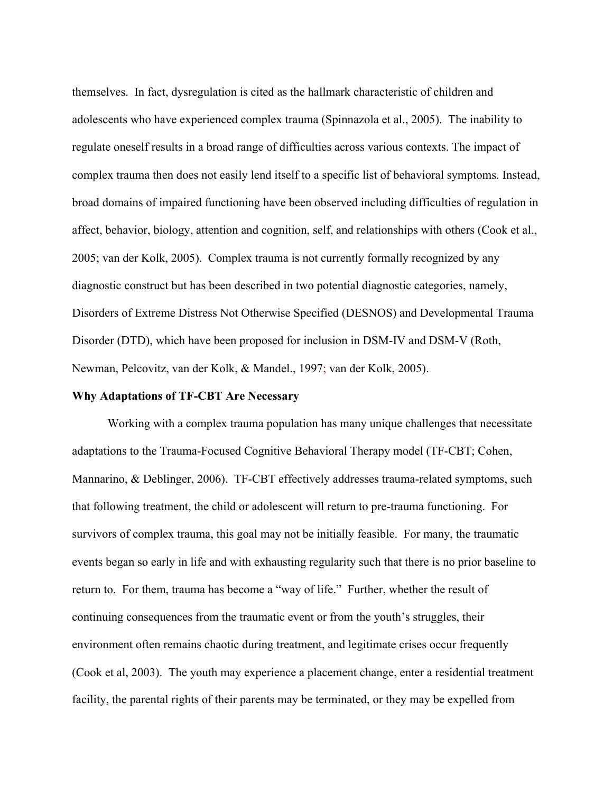themselves. In fact, dysregulation is cited as the hallmark characteristic of children and adolescents who have experienced complex trauma (Spinnazola et al., 2005). The inability to regulate oneself results in a broad range of difficulties across various contexts. The impact of complex trauma then does not easily lend itself to a specific list of behavioral symptoms. Instead, broad domains of impaired functioning have been observed including difficulties of regulation in affect, behavior, biology, attention and cognition, self, and relationships with others (Cook et al., 2005; van der Kolk, 2005). Complex trauma is not currently formally recognized by any diagnostic construct but has been described in two potential diagnostic categories, namely, Disorders of Extreme Distress Not Otherwise Specified (DESNOS) and Developmental Trauma Disorder (DTD), which have been proposed for inclusion in DSM-IV and DSM-V (Roth, Newman, Pelcovitz, van der Kolk, & Mandel., 1997; van der Kolk, 2005).

#### **Why Adaptations of TF-CBT Are Necessary**

Working with a complex trauma population has many unique challenges that necessitate adaptations to the Trauma-Focused Cognitive Behavioral Therapy model (TF-CBT; Cohen, Mannarino, & Deblinger, 2006). TF-CBT effectively addresses trauma-related symptoms, such that following treatment, the child or adolescent will return to pre-trauma functioning. For survivors of complex trauma, this goal may not be initially feasible. For many, the traumatic events began so early in life and with exhausting regularity such that there is no prior baseline to return to. For them, trauma has become a "way of life." Further, whether the result of continuing consequences from the traumatic event or from the youth's struggles, their environment often remains chaotic during treatment, and legitimate crises occur frequently (Cook et al, 2003). The youth may experience a placement change, enter a residential treatment facility, the parental rights of their parents may be terminated, or they may be expelled from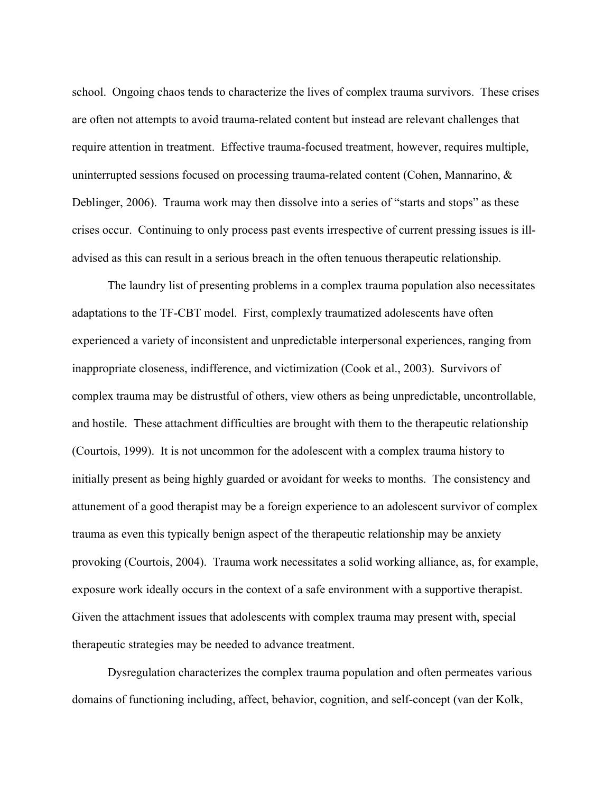school. Ongoing chaos tends to characterize the lives of complex trauma survivors. These crises are often not attempts to avoid trauma-related content but instead are relevant challenges that require attention in treatment. Effective trauma-focused treatment, however, requires multiple, uninterrupted sessions focused on processing trauma-related content (Cohen, Mannarino, & Deblinger, 2006). Trauma work may then dissolve into a series of "starts and stops" as these crises occur. Continuing to only process past events irrespective of current pressing issues is illadvised as this can result in a serious breach in the often tenuous therapeutic relationship.

The laundry list of presenting problems in a complex trauma population also necessitates adaptations to the TF-CBT model. First, complexly traumatized adolescents have often experienced a variety of inconsistent and unpredictable interpersonal experiences, ranging from inappropriate closeness, indifference, and victimization (Cook et al., 2003). Survivors of complex trauma may be distrustful of others, view others as being unpredictable, uncontrollable, and hostile. These attachment difficulties are brought with them to the therapeutic relationship (Courtois, 1999). It is not uncommon for the adolescent with a complex trauma history to initially present as being highly guarded or avoidant for weeks to months. The consistency and attunement of a good therapist may be a foreign experience to an adolescent survivor of complex trauma as even this typically benign aspect of the therapeutic relationship may be anxiety provoking (Courtois, 2004). Trauma work necessitates a solid working alliance, as, for example, exposure work ideally occurs in the context of a safe environment with a supportive therapist. Given the attachment issues that adolescents with complex trauma may present with, special therapeutic strategies may be needed to advance treatment.

Dysregulation characterizes the complex trauma population and often permeates various domains of functioning including, affect, behavior, cognition, and self-concept (van der Kolk,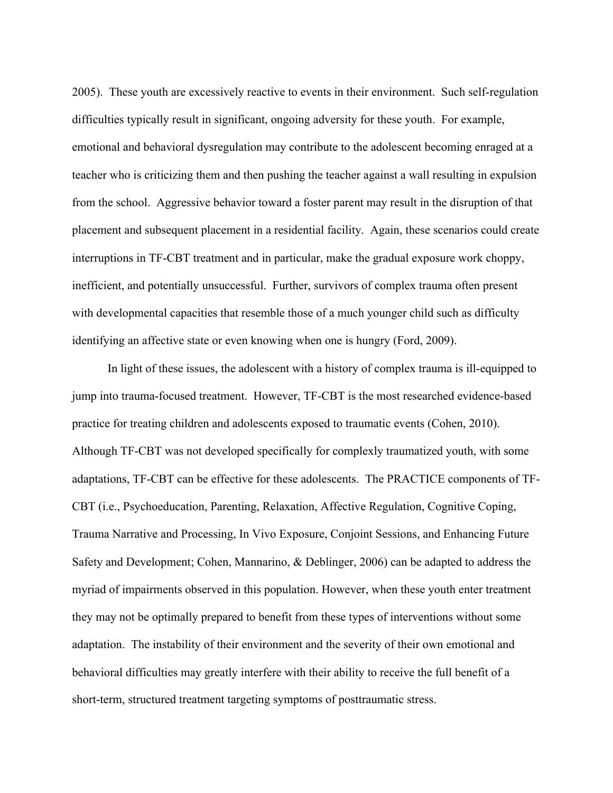2005). These youth are excessively reactive to events in their environment. Such self-regulation difficulties typically result in significant, ongoing adversity for these youth. For example, emotional and behavioral dysregulation may contribute to the adolescent becoming enraged at a teacher who is criticizing them and then pushing the teacher against a wall resulting in expulsion from the school. Aggressive behavior toward a foster parent may result in the disruption of that placement and subsequent placement in a residential facility. Again, these scenarios could create interruptions in TF-CBT treatment and in particular, make the gradual exposure work choppy, inefficient, and potentially unsuccessful. Further, survivors of complex trauma often present with developmental capacities that resemble those of a much younger child such as difficulty identifying an affective state or even knowing when one is hungry (Ford, 2009).

In light of these issues, the adolescent with a history of complex trauma is ill-equipped to jump into trauma-focused treatment. However, TF-CBT is the most researched evidence-based practice for treating children and adolescents exposed to traumatic events (Cohen, 2010). Although TF-CBT was not developed specifically for complexly traumatized youth, with some adaptations, TF-CBT can be effective for these adolescents. The PRACTICE components of TF-CBT (i.e., Psychoeducation, Parenting, Relaxation, Affective Regulation, Cognitive Coping, Trauma Narrative and Processing, In Vivo Exposure, Conjoint Sessions, and Enhancing Future Safety and Development; Cohen, Mannarino, & Deblinger, 2006) can be adapted to address the myriad of impairments observed in this population. However, when these youth enter treatment they may not be optimally prepared to benefit from these types of interventions without some adaptation. The instability of their environment and the severity of their own emotional and behavioral difficulties may greatly interfere with their ability to receive the full benefit of a short-term, structured treatment targeting symptoms of posttraumatic stress.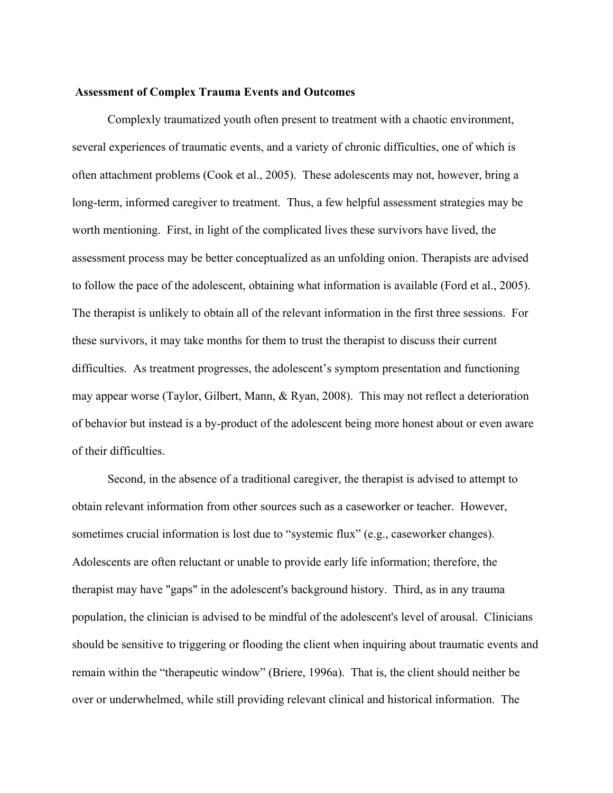#### **Assessment of Complex Trauma Events and Outcomes**

Complexly traumatized youth often present to treatment with a chaotic environment, several experiences of traumatic events, and a variety of chronic difficulties, one of which is often attachment problems (Cook et al., 2005). These adolescents may not, however, bring a long-term, informed caregiver to treatment. Thus, a few helpful assessment strategies may be worth mentioning. First, in light of the complicated lives these survivors have lived, the assessment process may be better conceptualized as an unfolding onion. Therapists are advised to follow the pace of the adolescent, obtaining what information is available (Ford et al., 2005). The therapist is unlikely to obtain all of the relevant information in the first three sessions. For these survivors, it may take months for them to trust the therapist to discuss their current difficulties. As treatment progresses, the adolescent's symptom presentation and functioning may appear worse (Taylor, Gilbert, Mann, & Ryan, 2008). This may not reflect a deterioration of behavior but instead is a by-product of the adolescent being more honest about or even aware of their difficulties.

Second, in the absence of a traditional caregiver, the therapist is advised to attempt to obtain relevant information from other sources such as a caseworker or teacher. However, sometimes crucial information is lost due to "systemic flux" (e.g., caseworker changes). Adolescents are often reluctant or unable to provide early life information; therefore, the therapist may have "gaps" in the adolescent's background history. Third, as in any trauma population, the clinician is advised to be mindful of the adolescent's level of arousal. Clinicians should be sensitive to triggering or flooding the client when inquiring about traumatic events and remain within the "therapeutic window" (Briere, 1996a). That is, the client should neither be over or underwhelmed, while still providing relevant clinical and historical information. The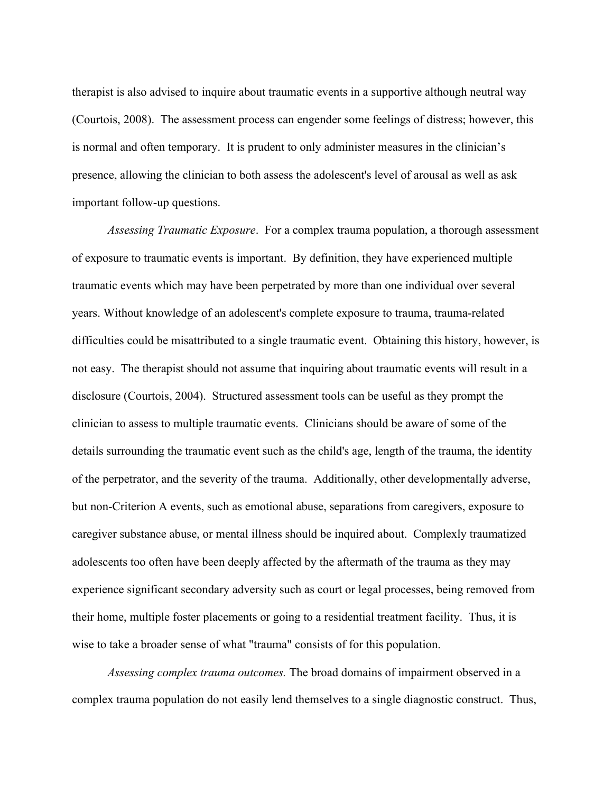therapist is also advised to inquire about traumatic events in a supportive although neutral way (Courtois, 2008). The assessment process can engender some feelings of distress; however, this is normal and often temporary. It is prudent to only administer measures in the clinician's presence, allowing the clinician to both assess the adolescent's level of arousal as well as ask important follow-up questions.

*Assessing Traumatic Exposure*. For a complex trauma population, a thorough assessment of exposure to traumatic events is important. By definition, they have experienced multiple traumatic events which may have been perpetrated by more than one individual over several years. Without knowledge of an adolescent's complete exposure to trauma, trauma-related difficulties could be misattributed to a single traumatic event. Obtaining this history, however, is not easy. The therapist should not assume that inquiring about traumatic events will result in a disclosure (Courtois, 2004). Structured assessment tools can be useful as they prompt the clinician to assess to multiple traumatic events. Clinicians should be aware of some of the details surrounding the traumatic event such as the child's age, length of the trauma, the identity of the perpetrator, and the severity of the trauma. Additionally, other developmentally adverse, but non-Criterion A events, such as emotional abuse, separations from caregivers, exposure to caregiver substance abuse, or mental illness should be inquired about. Complexly traumatized adolescents too often have been deeply affected by the aftermath of the trauma as they may experience significant secondary adversity such as court or legal processes, being removed from their home, multiple foster placements or going to a residential treatment facility. Thus, it is wise to take a broader sense of what "trauma" consists of for this population.

*Assessing complex trauma outcomes.* The broad domains of impairment observed in a complex trauma population do not easily lend themselves to a single diagnostic construct. Thus,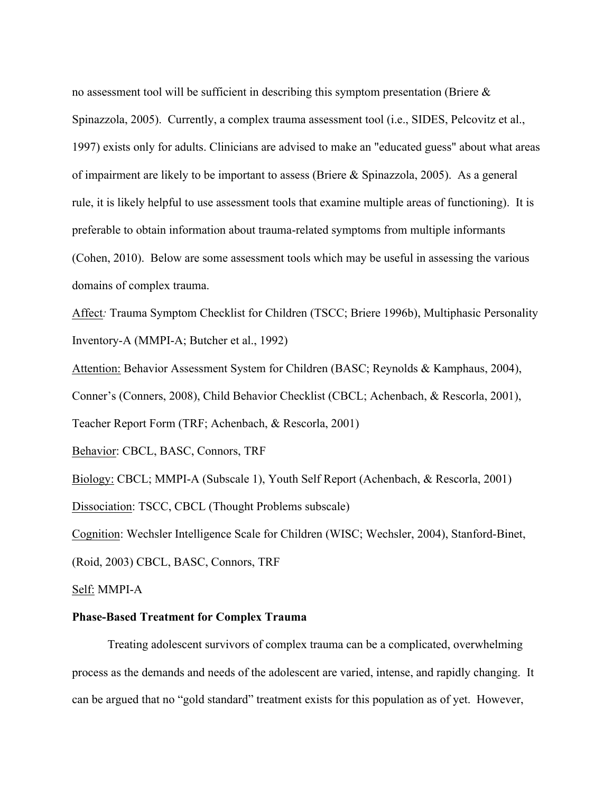no assessment tool will be sufficient in describing this symptom presentation (Briere  $\&$ Spinazzola, 2005). Currently, a complex trauma assessment tool (i.e., SIDES, Pelcovitz et al., 1997) exists only for adults. Clinicians are advised to make an "educated guess" about what areas of impairment are likely to be important to assess (Briere & Spinazzola, 2005). As a general rule, it is likely helpful to use assessment tools that examine multiple areas of functioning). It is preferable to obtain information about trauma-related symptoms from multiple informants (Cohen, 2010). Below are some assessment tools which may be useful in assessing the various domains of complex trauma.

Affect*:* Trauma Symptom Checklist for Children (TSCC; Briere 1996b), Multiphasic Personality Inventory-A (MMPI-A; Butcher et al., 1992)

Attention: Behavior Assessment System for Children (BASC; Reynolds & Kamphaus, 2004), Conner's (Conners, 2008), Child Behavior Checklist (CBCL; Achenbach, & Rescorla, 2001), Teacher Report Form (TRF; Achenbach, & Rescorla, 2001)

Behavior: CBCL, BASC, Connors, TRF

Biology: CBCL; MMPI-A (Subscale 1), Youth Self Report (Achenbach, & Rescorla, 2001)

Dissociation: TSCC, CBCL (Thought Problems subscale)

Cognition: Wechsler Intelligence Scale for Children (WISC; Wechsler, 2004), Stanford-Binet,

(Roid, 2003) CBCL, BASC, Connors, TRF

Self: MMPI-A

### **Phase-Based Treatment for Complex Trauma**

Treating adolescent survivors of complex trauma can be a complicated, overwhelming process as the demands and needs of the adolescent are varied, intense, and rapidly changing. It can be argued that no "gold standard" treatment exists for this population as of yet. However,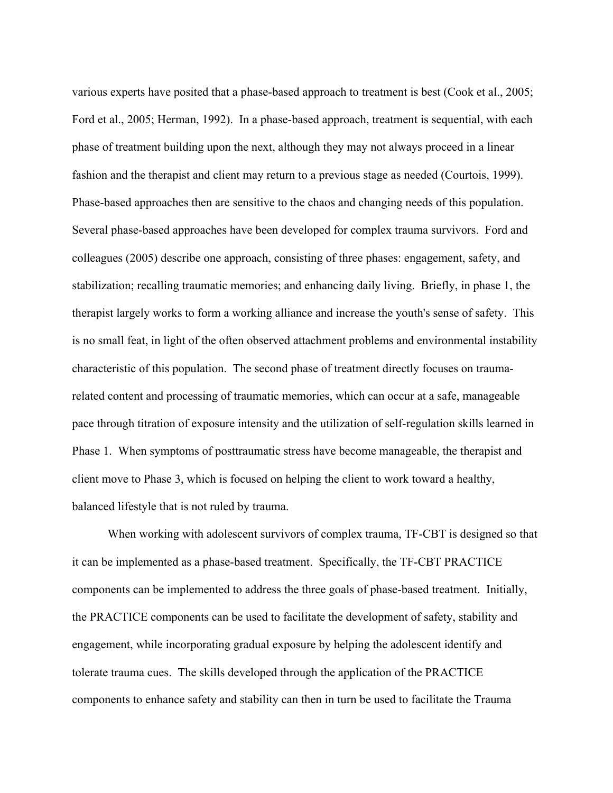various experts have posited that a phase-based approach to treatment is best (Cook et al., 2005; Ford et al., 2005; Herman, 1992). In a phase-based approach, treatment is sequential, with each phase of treatment building upon the next, although they may not always proceed in a linear fashion and the therapist and client may return to a previous stage as needed (Courtois, 1999). Phase-based approaches then are sensitive to the chaos and changing needs of this population. Several phase-based approaches have been developed for complex trauma survivors. Ford and colleagues (2005) describe one approach, consisting of three phases: engagement, safety, and stabilization; recalling traumatic memories; and enhancing daily living. Briefly, in phase 1, the therapist largely works to form a working alliance and increase the youth's sense of safety. This is no small feat, in light of the often observed attachment problems and environmental instability characteristic of this population. The second phase of treatment directly focuses on traumarelated content and processing of traumatic memories, which can occur at a safe, manageable pace through titration of exposure intensity and the utilization of self-regulation skills learned in Phase 1. When symptoms of posttraumatic stress have become manageable, the therapist and client move to Phase 3, which is focused on helping the client to work toward a healthy, balanced lifestyle that is not ruled by trauma.

When working with adolescent survivors of complex trauma, TF-CBT is designed so that it can be implemented as a phase-based treatment. Specifically, the TF-CBT PRACTICE components can be implemented to address the three goals of phase-based treatment. Initially, the PRACTICE components can be used to facilitate the development of safety, stability and engagement, while incorporating gradual exposure by helping the adolescent identify and tolerate trauma cues. The skills developed through the application of the PRACTICE components to enhance safety and stability can then in turn be used to facilitate the Trauma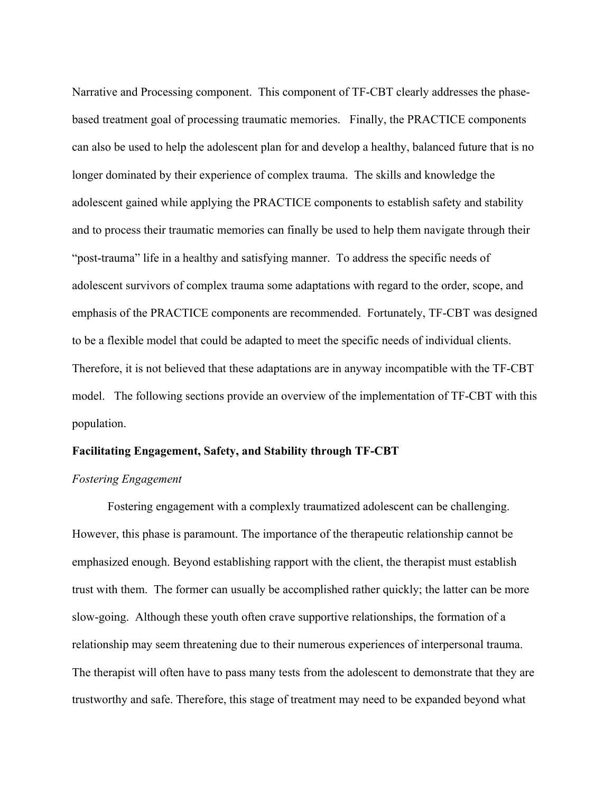Narrative and Processing component. This component of TF-CBT clearly addresses the phasebased treatment goal of processing traumatic memories. Finally, the PRACTICE components can also be used to help the adolescent plan for and develop a healthy, balanced future that is no longer dominated by their experience of complex trauma. The skills and knowledge the adolescent gained while applying the PRACTICE components to establish safety and stability and to process their traumatic memories can finally be used to help them navigate through their "post-trauma" life in a healthy and satisfying manner. To address the specific needs of adolescent survivors of complex trauma some adaptations with regard to the order, scope, and emphasis of the PRACTICE components are recommended. Fortunately, TF-CBT was designed to be a flexible model that could be adapted to meet the specific needs of individual clients. Therefore, it is not believed that these adaptations are in anyway incompatible with the TF-CBT model. The following sections provide an overview of the implementation of TF-CBT with this population.

#### **Facilitating Engagement, Safety, and Stability through TF-CBT**

#### *Fostering Engagement*

Fostering engagement with a complexly traumatized adolescent can be challenging. However, this phase is paramount. The importance of the therapeutic relationship cannot be emphasized enough. Beyond establishing rapport with the client, the therapist must establish trust with them. The former can usually be accomplished rather quickly; the latter can be more slow-going. Although these youth often crave supportive relationships, the formation of a relationship may seem threatening due to their numerous experiences of interpersonal trauma. The therapist will often have to pass many tests from the adolescent to demonstrate that they are trustworthy and safe. Therefore, this stage of treatment may need to be expanded beyond what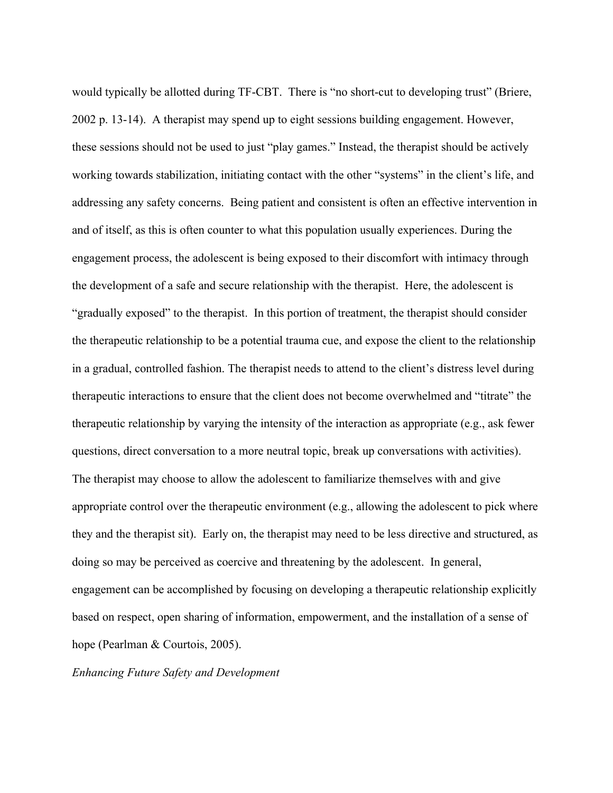would typically be allotted during TF-CBT. There is "no short-cut to developing trust" (Briere, 2002 p. 13-14). A therapist may spend up to eight sessions building engagement. However, these sessions should not be used to just "play games." Instead, the therapist should be actively working towards stabilization, initiating contact with the other "systems" in the client's life, and addressing any safety concerns. Being patient and consistent is often an effective intervention in and of itself, as this is often counter to what this population usually experiences. During the engagement process, the adolescent is being exposed to their discomfort with intimacy through the development of a safe and secure relationship with the therapist. Here, the adolescent is "gradually exposed" to the therapist. In this portion of treatment, the therapist should consider the therapeutic relationship to be a potential trauma cue, and expose the client to the relationship in a gradual, controlled fashion. The therapist needs to attend to the client's distress level during therapeutic interactions to ensure that the client does not become overwhelmed and "titrate" the therapeutic relationship by varying the intensity of the interaction as appropriate (e.g., ask fewer questions, direct conversation to a more neutral topic, break up conversations with activities). The therapist may choose to allow the adolescent to familiarize themselves with and give appropriate control over the therapeutic environment (e.g., allowing the adolescent to pick where they and the therapist sit). Early on, the therapist may need to be less directive and structured, as doing so may be perceived as coercive and threatening by the adolescent. In general, engagement can be accomplished by focusing on developing a therapeutic relationship explicitly based on respect, open sharing of information, empowerment, and the installation of a sense of hope (Pearlman & Courtois, 2005).

*Enhancing Future Safety and Development*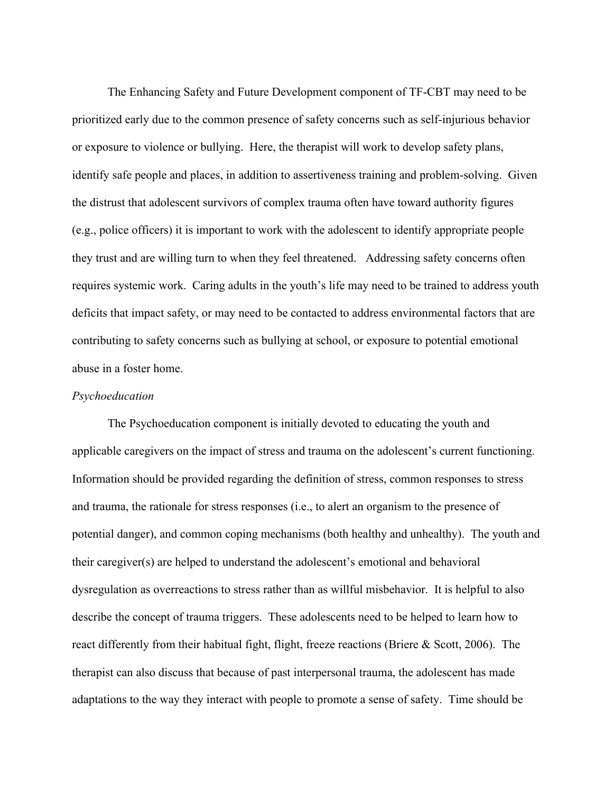The Enhancing Safety and Future Development component of TF-CBT may need to be prioritized early due to the common presence of safety concerns such as self-injurious behavior or exposure to violence or bullying. Here, the therapist will work to develop safety plans, identify safe people and places, in addition to assertiveness training and problem-solving. Given the distrust that adolescent survivors of complex trauma often have toward authority figures (e.g., police officers) it is important to work with the adolescent to identify appropriate people they trust and are willing turn to when they feel threatened. Addressing safety concerns often requires systemic work. Caring adults in the youth's life may need to be trained to address youth deficits that impact safety, or may need to be contacted to address environmental factors that are contributing to safety concerns such as bullying at school, or exposure to potential emotional abuse in a foster home.

#### *Psychoeducation*

The Psychoeducation component is initially devoted to educating the youth and applicable caregivers on the impact of stress and trauma on the adolescent's current functioning. Information should be provided regarding the definition of stress, common responses to stress and trauma, the rationale for stress responses (i.e., to alert an organism to the presence of potential danger), and common coping mechanisms (both healthy and unhealthy). The youth and their caregiver(s) are helped to understand the adolescent's emotional and behavioral dysregulation as overreactions to stress rather than as willful misbehavior. It is helpful to also describe the concept of trauma triggers. These adolescents need to be helped to learn how to react differently from their habitual fight, flight, freeze reactions (Briere & Scott, 2006). The therapist can also discuss that because of past interpersonal trauma, the adolescent has made adaptations to the way they interact with people to promote a sense of safety. Time should be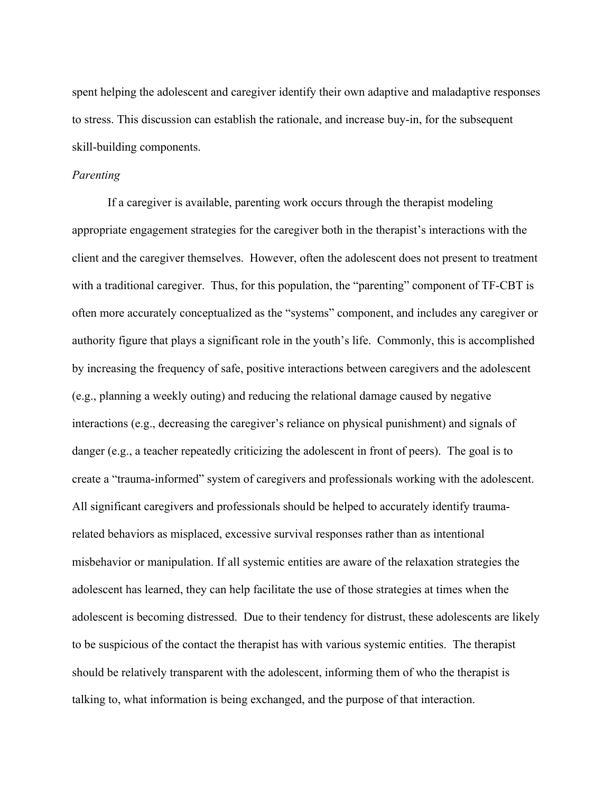spent helping the adolescent and caregiver identify their own adaptive and maladaptive responses to stress. This discussion can establish the rationale, and increase buy-in, for the subsequent skill-building components.

#### *Parenting*

If a caregiver is available, parenting work occurs through the therapist modeling appropriate engagement strategies for the caregiver both in the therapist's interactions with the client and the caregiver themselves. However, often the adolescent does not present to treatment with a traditional caregiver. Thus, for this population, the "parenting" component of TF-CBT is often more accurately conceptualized as the "systems" component, and includes any caregiver or authority figure that plays a significant role in the youth's life. Commonly, this is accomplished by increasing the frequency of safe, positive interactions between caregivers and the adolescent (e.g., planning a weekly outing) and reducing the relational damage caused by negative interactions (e.g., decreasing the caregiver's reliance on physical punishment) and signals of danger (e.g., a teacher repeatedly criticizing the adolescent in front of peers). The goal is to create a "trauma-informed" system of caregivers and professionals working with the adolescent. All significant caregivers and professionals should be helped to accurately identify traumarelated behaviors as misplaced, excessive survival responses rather than as intentional misbehavior or manipulation. If all systemic entities are aware of the relaxation strategies the adolescent has learned, they can help facilitate the use of those strategies at times when the adolescent is becoming distressed. Due to their tendency for distrust, these adolescents are likely to be suspicious of the contact the therapist has with various systemic entities. The therapist should be relatively transparent with the adolescent, informing them of who the therapist is talking to, what information is being exchanged, and the purpose of that interaction.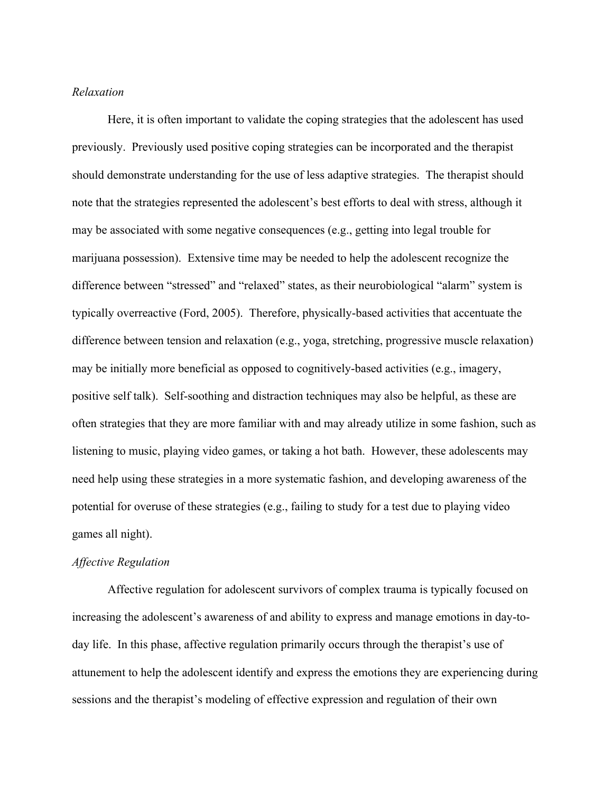#### *Relaxation*

Here, it is often important to validate the coping strategies that the adolescent has used previously. Previously used positive coping strategies can be incorporated and the therapist should demonstrate understanding for the use of less adaptive strategies. The therapist should note that the strategies represented the adolescent's best efforts to deal with stress, although it may be associated with some negative consequences (e.g., getting into legal trouble for marijuana possession). Extensive time may be needed to help the adolescent recognize the difference between "stressed" and "relaxed" states, as their neurobiological "alarm" system is typically overreactive (Ford, 2005). Therefore, physically-based activities that accentuate the difference between tension and relaxation (e.g., yoga, stretching, progressive muscle relaxation) may be initially more beneficial as opposed to cognitively-based activities (e.g., imagery, positive self talk). Self-soothing and distraction techniques may also be helpful, as these are often strategies that they are more familiar with and may already utilize in some fashion, such as listening to music, playing video games, or taking a hot bath. However, these adolescents may need help using these strategies in a more systematic fashion, and developing awareness of the potential for overuse of these strategies (e.g., failing to study for a test due to playing video games all night).

### *Affective Regulation*

Affective regulation for adolescent survivors of complex trauma is typically focused on increasing the adolescent's awareness of and ability to express and manage emotions in day-today life. In this phase, affective regulation primarily occurs through the therapist's use of attunement to help the adolescent identify and express the emotions they are experiencing during sessions and the therapist's modeling of effective expression and regulation of their own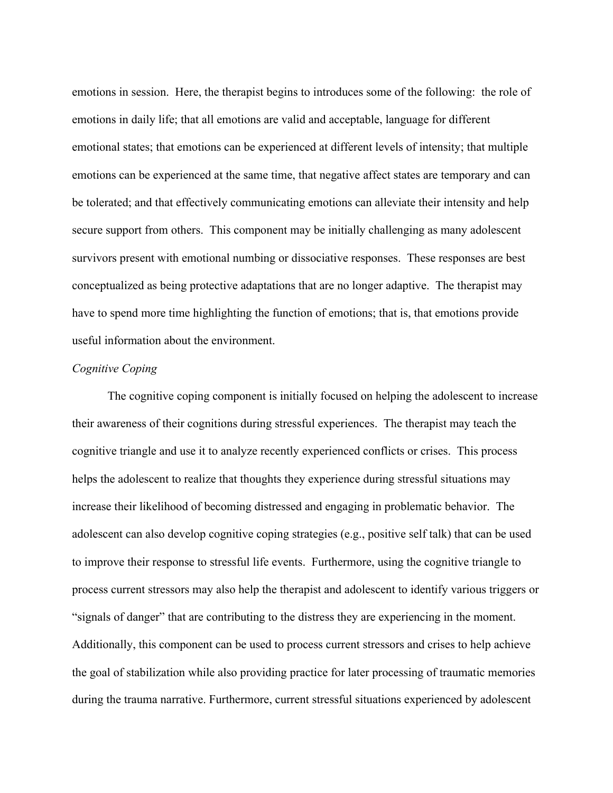emotions in session. Here, the therapist begins to introduces some of the following: the role of emotions in daily life; that all emotions are valid and acceptable, language for different emotional states; that emotions can be experienced at different levels of intensity; that multiple emotions can be experienced at the same time, that negative affect states are temporary and can be tolerated; and that effectively communicating emotions can alleviate their intensity and help secure support from others. This component may be initially challenging as many adolescent survivors present with emotional numbing or dissociative responses. These responses are best conceptualized as being protective adaptations that are no longer adaptive. The therapist may have to spend more time highlighting the function of emotions; that is, that emotions provide useful information about the environment.

# *Cognitive Coping*

The cognitive coping component is initially focused on helping the adolescent to increase their awareness of their cognitions during stressful experiences. The therapist may teach the cognitive triangle and use it to analyze recently experienced conflicts or crises. This process helps the adolescent to realize that thoughts they experience during stressful situations may increase their likelihood of becoming distressed and engaging in problematic behavior. The adolescent can also develop cognitive coping strategies (e.g., positive self talk) that can be used to improve their response to stressful life events. Furthermore, using the cognitive triangle to process current stressors may also help the therapist and adolescent to identify various triggers or "signals of danger" that are contributing to the distress they are experiencing in the moment. Additionally, this component can be used to process current stressors and crises to help achieve the goal of stabilization while also providing practice for later processing of traumatic memories during the trauma narrative. Furthermore, current stressful situations experienced by adolescent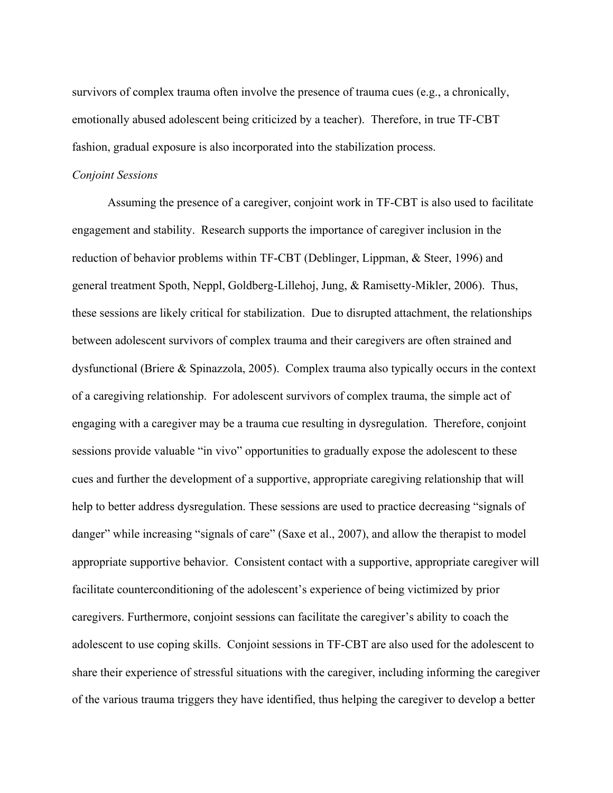survivors of complex trauma often involve the presence of trauma cues (e.g., a chronically, emotionally abused adolescent being criticized by a teacher). Therefore, in true TF-CBT fashion, gradual exposure is also incorporated into the stabilization process.

#### *Conjoint Sessions*

Assuming the presence of a caregiver, conjoint work in TF-CBT is also used to facilitate engagement and stability. Research supports the importance of caregiver inclusion in the reduction of behavior problems within TF-CBT (Deblinger, Lippman, & Steer, 1996) and general treatment Spoth, Neppl, Goldberg-Lillehoj, Jung, & Ramisetty-Mikler, 2006). Thus, these sessions are likely critical for stabilization. Due to disrupted attachment, the relationships between adolescent survivors of complex trauma and their caregivers are often strained and dysfunctional (Briere & Spinazzola, 2005). Complex trauma also typically occurs in the context of a caregiving relationship. For adolescent survivors of complex trauma, the simple act of engaging with a caregiver may be a trauma cue resulting in dysregulation. Therefore, conjoint sessions provide valuable "in vivo" opportunities to gradually expose the adolescent to these cues and further the development of a supportive, appropriate caregiving relationship that will help to better address dysregulation. These sessions are used to practice decreasing "signals of danger" while increasing "signals of care" (Saxe et al., 2007), and allow the therapist to model appropriate supportive behavior. Consistent contact with a supportive, appropriate caregiver will facilitate counterconditioning of the adolescent's experience of being victimized by prior caregivers. Furthermore, conjoint sessions can facilitate the caregiver's ability to coach the adolescent to use coping skills. Conjoint sessions in TF-CBT are also used for the adolescent to share their experience of stressful situations with the caregiver, including informing the caregiver of the various trauma triggers they have identified, thus helping the caregiver to develop a better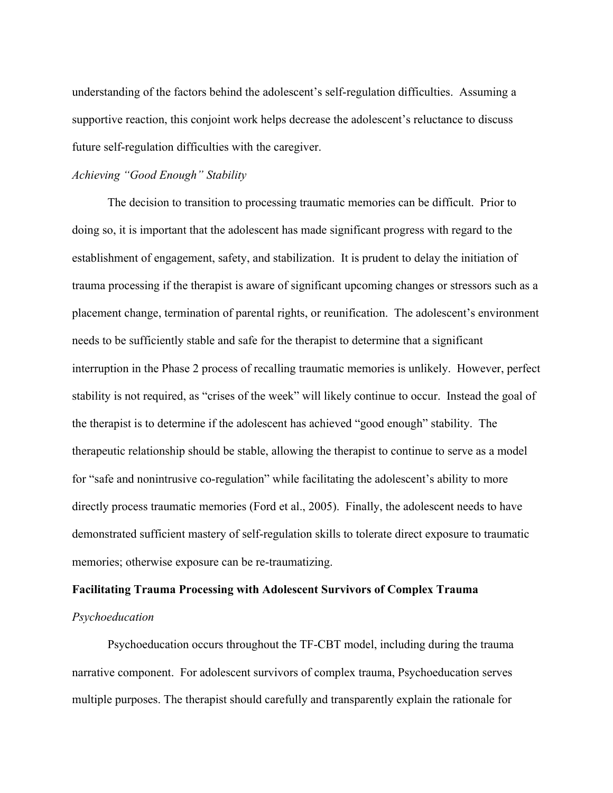understanding of the factors behind the adolescent's self-regulation difficulties. Assuming a supportive reaction, this conjoint work helps decrease the adolescent's reluctance to discuss future self-regulation difficulties with the caregiver.

### *Achieving "Good Enough" Stability*

The decision to transition to processing traumatic memories can be difficult. Prior to doing so, it is important that the adolescent has made significant progress with regard to the establishment of engagement, safety, and stabilization. It is prudent to delay the initiation of trauma processing if the therapist is aware of significant upcoming changes or stressors such as a placement change, termination of parental rights, or reunification. The adolescent's environment needs to be sufficiently stable and safe for the therapist to determine that a significant interruption in the Phase 2 process of recalling traumatic memories is unlikely. However, perfect stability is not required, as "crises of the week" will likely continue to occur. Instead the goal of the therapist is to determine if the adolescent has achieved "good enough" stability. The therapeutic relationship should be stable, allowing the therapist to continue to serve as a model for "safe and nonintrusive co-regulation" while facilitating the adolescent's ability to more directly process traumatic memories (Ford et al., 2005). Finally, the adolescent needs to have demonstrated sufficient mastery of self-regulation skills to tolerate direct exposure to traumatic memories; otherwise exposure can be re-traumatizing.

### **Facilitating Trauma Processing with Adolescent Survivors of Complex Trauma**

## *Psychoeducation*

Psychoeducation occurs throughout the TF-CBT model, including during the trauma narrative component. For adolescent survivors of complex trauma, Psychoeducation serves multiple purposes. The therapist should carefully and transparently explain the rationale for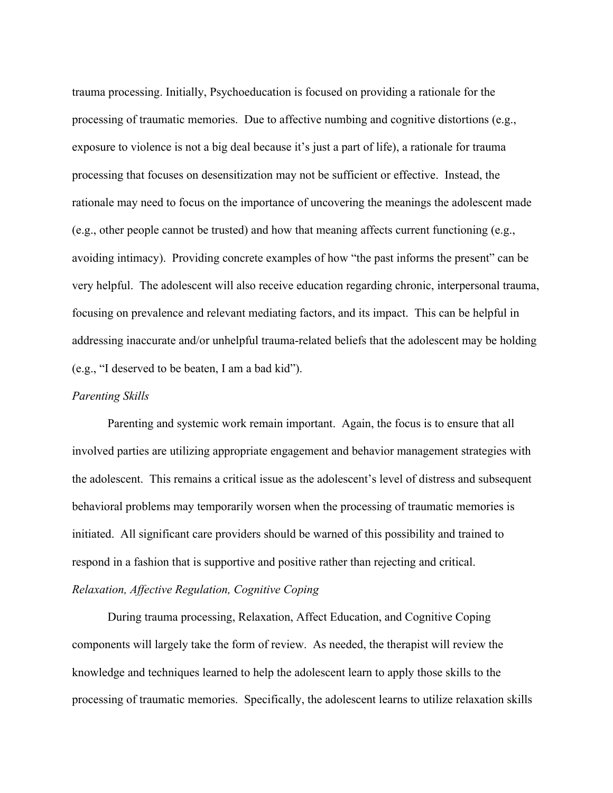trauma processing. Initially, Psychoeducation is focused on providing a rationale for the processing of traumatic memories. Due to affective numbing and cognitive distortions (e.g., exposure to violence is not a big deal because it's just a part of life), a rationale for trauma processing that focuses on desensitization may not be sufficient or effective. Instead, the rationale may need to focus on the importance of uncovering the meanings the adolescent made (e.g., other people cannot be trusted) and how that meaning affects current functioning (e.g., avoiding intimacy). Providing concrete examples of how "the past informs the present" can be very helpful. The adolescent will also receive education regarding chronic, interpersonal trauma, focusing on prevalence and relevant mediating factors, and its impact. This can be helpful in addressing inaccurate and/or unhelpful trauma-related beliefs that the adolescent may be holding (e.g., "I deserved to be beaten, I am a bad kid").

#### *Parenting Skills*

Parenting and systemic work remain important. Again, the focus is to ensure that all involved parties are utilizing appropriate engagement and behavior management strategies with the adolescent. This remains a critical issue as the adolescent's level of distress and subsequent behavioral problems may temporarily worsen when the processing of traumatic memories is initiated. All significant care providers should be warned of this possibility and trained to respond in a fashion that is supportive and positive rather than rejecting and critical. *Relaxation, Affective Regulation, Cognitive Coping*

During trauma processing, Relaxation, Affect Education, and Cognitive Coping components will largely take the form of review. As needed, the therapist will review the knowledge and techniques learned to help the adolescent learn to apply those skills to the processing of traumatic memories. Specifically, the adolescent learns to utilize relaxation skills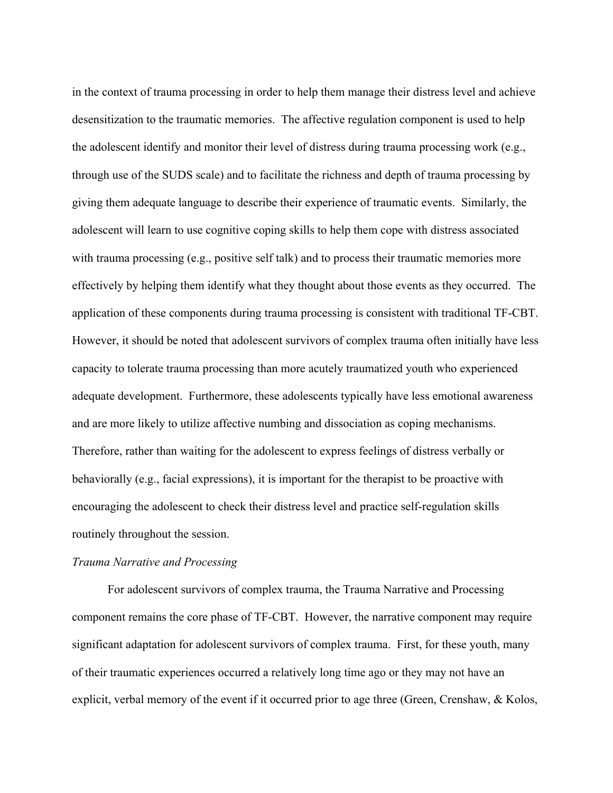in the context of trauma processing in order to help them manage their distress level and achieve desensitization to the traumatic memories. The affective regulation component is used to help the adolescent identify and monitor their level of distress during trauma processing work (e.g., through use of the SUDS scale) and to facilitate the richness and depth of trauma processing by giving them adequate language to describe their experience of traumatic events. Similarly, the adolescent will learn to use cognitive coping skills to help them cope with distress associated with trauma processing (e.g., positive self talk) and to process their traumatic memories more effectively by helping them identify what they thought about those events as they occurred. The application of these components during trauma processing is consistent with traditional TF-CBT. However, it should be noted that adolescent survivors of complex trauma often initially have less capacity to tolerate trauma processing than more acutely traumatized youth who experienced adequate development. Furthermore, these adolescents typically have less emotional awareness and are more likely to utilize affective numbing and dissociation as coping mechanisms. Therefore, rather than waiting for the adolescent to express feelings of distress verbally or behaviorally (e.g., facial expressions), it is important for the therapist to be proactive with encouraging the adolescent to check their distress level and practice self-regulation skills routinely throughout the session.

#### *Trauma Narrative and Processing*

For adolescent survivors of complex trauma, the Trauma Narrative and Processing component remains the core phase of TF-CBT. However, the narrative component may require significant adaptation for adolescent survivors of complex trauma. First, for these youth, many of their traumatic experiences occurred a relatively long time ago or they may not have an explicit, verbal memory of the event if it occurred prior to age three (Green, Crenshaw, & Kolos,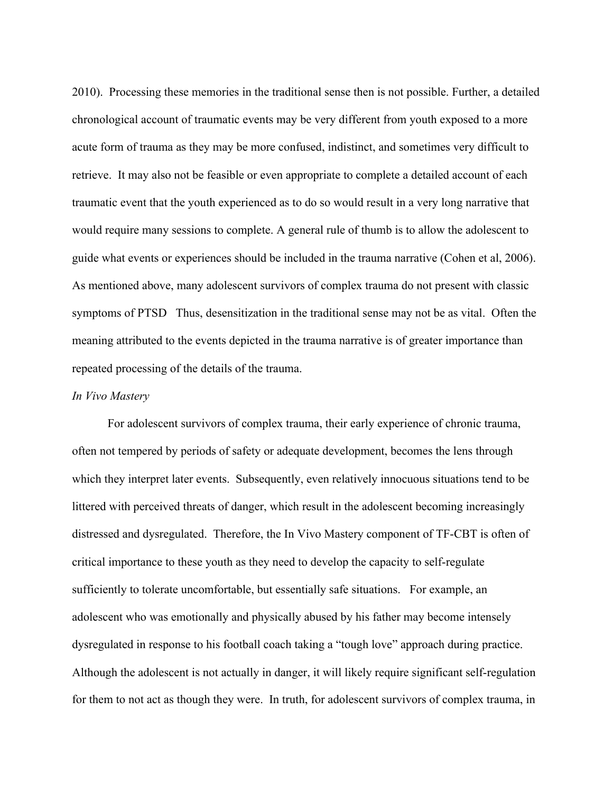2010). Processing these memories in the traditional sense then is not possible. Further, a detailed chronological account of traumatic events may be very different from youth exposed to a more acute form of trauma as they may be more confused, indistinct, and sometimes very difficult to retrieve. It may also not be feasible or even appropriate to complete a detailed account of each traumatic event that the youth experienced as to do so would result in a very long narrative that would require many sessions to complete. A general rule of thumb is to allow the adolescent to guide what events or experiences should be included in the trauma narrative (Cohen et al, 2006). As mentioned above, many adolescent survivors of complex trauma do not present with classic symptoms of PTSD Thus, desensitization in the traditional sense may not be as vital. Often the meaning attributed to the events depicted in the trauma narrative is of greater importance than repeated processing of the details of the trauma.

#### *In Vivo Mastery*

For adolescent survivors of complex trauma, their early experience of chronic trauma, often not tempered by periods of safety or adequate development, becomes the lens through which they interpret later events. Subsequently, even relatively innocuous situations tend to be littered with perceived threats of danger, which result in the adolescent becoming increasingly distressed and dysregulated. Therefore, the In Vivo Mastery component of TF-CBT is often of critical importance to these youth as they need to develop the capacity to self-regulate sufficiently to tolerate uncomfortable, but essentially safe situations. For example, an adolescent who was emotionally and physically abused by his father may become intensely dysregulated in response to his football coach taking a "tough love" approach during practice. Although the adolescent is not actually in danger, it will likely require significant self-regulation for them to not act as though they were. In truth, for adolescent survivors of complex trauma, in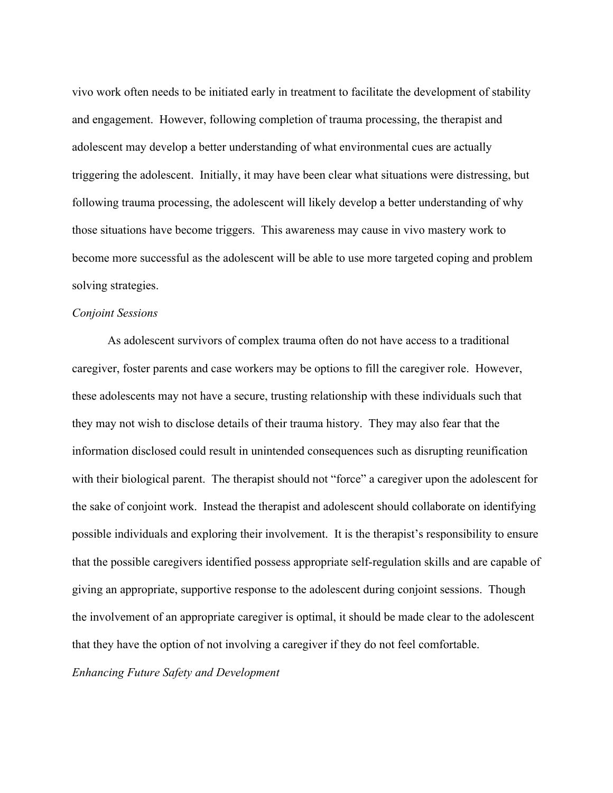vivo work often needs to be initiated early in treatment to facilitate the development of stability and engagement. However, following completion of trauma processing, the therapist and adolescent may develop a better understanding of what environmental cues are actually triggering the adolescent. Initially, it may have been clear what situations were distressing, but following trauma processing, the adolescent will likely develop a better understanding of why those situations have become triggers. This awareness may cause in vivo mastery work to become more successful as the adolescent will be able to use more targeted coping and problem solving strategies.

### *Conjoint Sessions*

As adolescent survivors of complex trauma often do not have access to a traditional caregiver, foster parents and case workers may be options to fill the caregiver role. However, these adolescents may not have a secure, trusting relationship with these individuals such that they may not wish to disclose details of their trauma history. They may also fear that the information disclosed could result in unintended consequences such as disrupting reunification with their biological parent. The therapist should not "force" a caregiver upon the adolescent for the sake of conjoint work. Instead the therapist and adolescent should collaborate on identifying possible individuals and exploring their involvement. It is the therapist's responsibility to ensure that the possible caregivers identified possess appropriate self-regulation skills and are capable of giving an appropriate, supportive response to the adolescent during conjoint sessions. Though the involvement of an appropriate caregiver is optimal, it should be made clear to the adolescent that they have the option of not involving a caregiver if they do not feel comfortable. *Enhancing Future Safety and Development*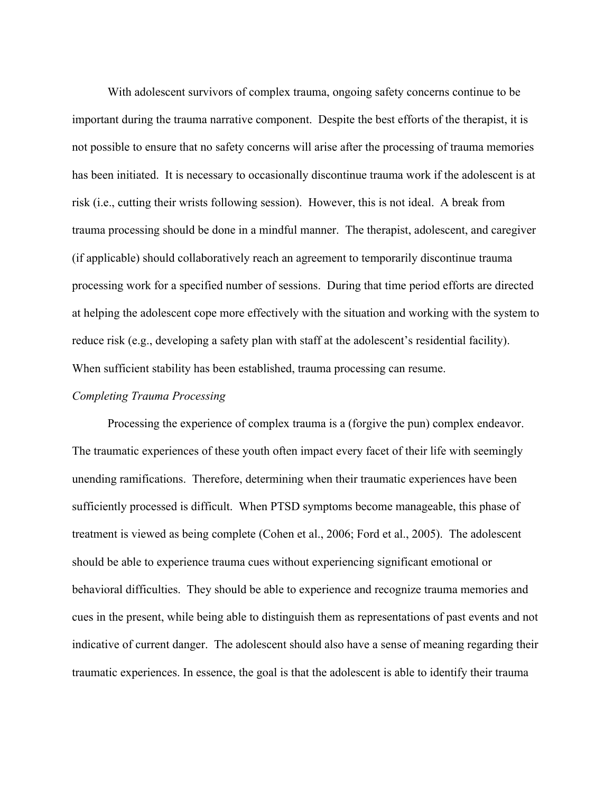With adolescent survivors of complex trauma, ongoing safety concerns continue to be important during the trauma narrative component. Despite the best efforts of the therapist, it is not possible to ensure that no safety concerns will arise after the processing of trauma memories has been initiated. It is necessary to occasionally discontinue trauma work if the adolescent is at risk (i.e., cutting their wrists following session). However, this is not ideal. A break from trauma processing should be done in a mindful manner. The therapist, adolescent, and caregiver (if applicable) should collaboratively reach an agreement to temporarily discontinue trauma processing work for a specified number of sessions. During that time period efforts are directed at helping the adolescent cope more effectively with the situation and working with the system to reduce risk (e.g., developing a safety plan with staff at the adolescent's residential facility). When sufficient stability has been established, trauma processing can resume.

#### *Completing Trauma Processing*

Processing the experience of complex trauma is a (forgive the pun) complex endeavor. The traumatic experiences of these youth often impact every facet of their life with seemingly unending ramifications. Therefore, determining when their traumatic experiences have been sufficiently processed is difficult. When PTSD symptoms become manageable, this phase of treatment is viewed as being complete (Cohen et al., 2006; Ford et al., 2005). The adolescent should be able to experience trauma cues without experiencing significant emotional or behavioral difficulties. They should be able to experience and recognize trauma memories and cues in the present, while being able to distinguish them as representations of past events and not indicative of current danger. The adolescent should also have a sense of meaning regarding their traumatic experiences. In essence, the goal is that the adolescent is able to identify their trauma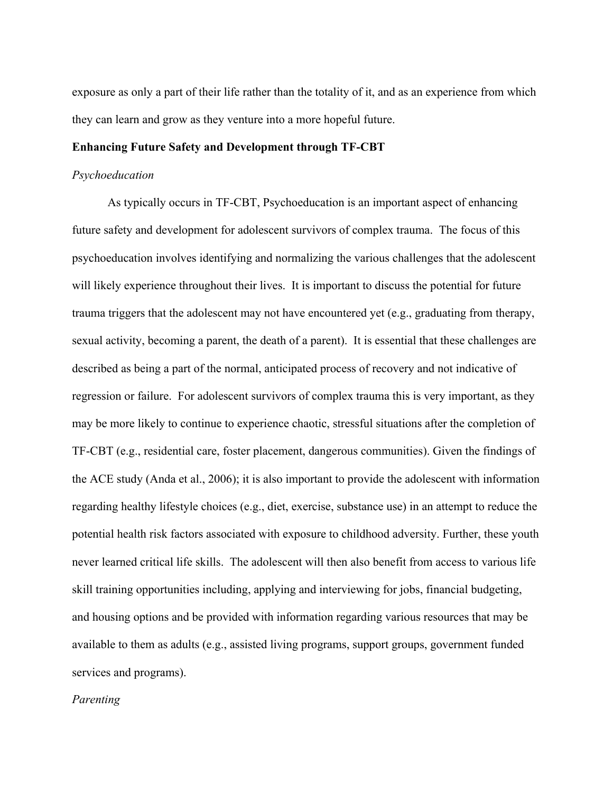exposure as only a part of their life rather than the totality of it, and as an experience from which they can learn and grow as they venture into a more hopeful future.

#### **Enhancing Future Safety and Development through TF-CBT**

#### *Psychoeducation*

As typically occurs in TF-CBT, Psychoeducation is an important aspect of enhancing future safety and development for adolescent survivors of complex trauma. The focus of this psychoeducation involves identifying and normalizing the various challenges that the adolescent will likely experience throughout their lives. It is important to discuss the potential for future trauma triggers that the adolescent may not have encountered yet (e.g., graduating from therapy, sexual activity, becoming a parent, the death of a parent). It is essential that these challenges are described as being a part of the normal, anticipated process of recovery and not indicative of regression or failure. For adolescent survivors of complex trauma this is very important, as they may be more likely to continue to experience chaotic, stressful situations after the completion of TF-CBT (e.g., residential care, foster placement, dangerous communities). Given the findings of the ACE study (Anda et al., 2006); it is also important to provide the adolescent with information regarding healthy lifestyle choices (e.g., diet, exercise, substance use) in an attempt to reduce the potential health risk factors associated with exposure to childhood adversity. Further, these youth never learned critical life skills. The adolescent will then also benefit from access to various life skill training opportunities including, applying and interviewing for jobs, financial budgeting, and housing options and be provided with information regarding various resources that may be available to them as adults (e.g., assisted living programs, support groups, government funded services and programs).

### *Parenting*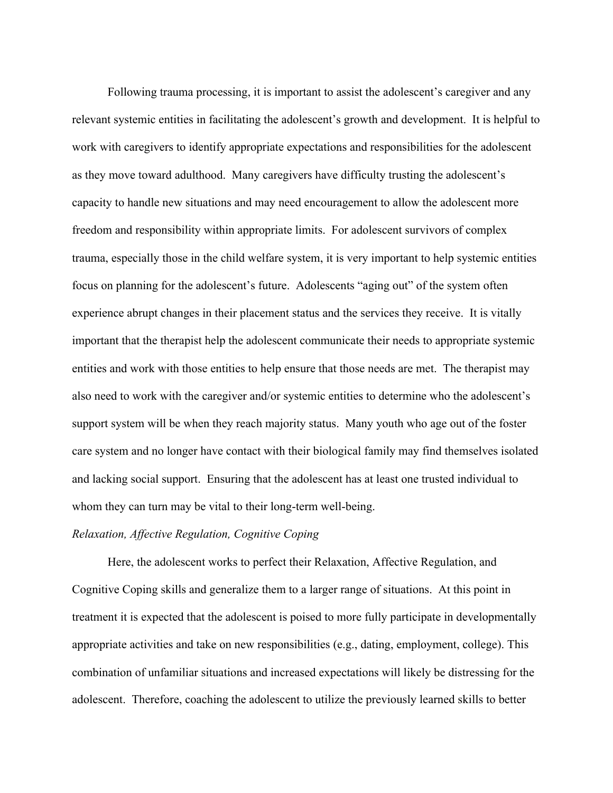Following trauma processing, it is important to assist the adolescent's caregiver and any relevant systemic entities in facilitating the adolescent's growth and development. It is helpful to work with caregivers to identify appropriate expectations and responsibilities for the adolescent as they move toward adulthood. Many caregivers have difficulty trusting the adolescent's capacity to handle new situations and may need encouragement to allow the adolescent more freedom and responsibility within appropriate limits. For adolescent survivors of complex trauma, especially those in the child welfare system, it is very important to help systemic entities focus on planning for the adolescent's future. Adolescents "aging out" of the system often experience abrupt changes in their placement status and the services they receive. It is vitally important that the therapist help the adolescent communicate their needs to appropriate systemic entities and work with those entities to help ensure that those needs are met. The therapist may also need to work with the caregiver and/or systemic entities to determine who the adolescent's support system will be when they reach majority status. Many youth who age out of the foster care system and no longer have contact with their biological family may find themselves isolated and lacking social support. Ensuring that the adolescent has at least one trusted individual to whom they can turn may be vital to their long-term well-being.

### *Relaxation, Affective Regulation, Cognitive Coping*

Here, the adolescent works to perfect their Relaxation, Affective Regulation, and Cognitive Coping skills and generalize them to a larger range of situations. At this point in treatment it is expected that the adolescent is poised to more fully participate in developmentally appropriate activities and take on new responsibilities (e.g., dating, employment, college). This combination of unfamiliar situations and increased expectations will likely be distressing for the adolescent. Therefore, coaching the adolescent to utilize the previously learned skills to better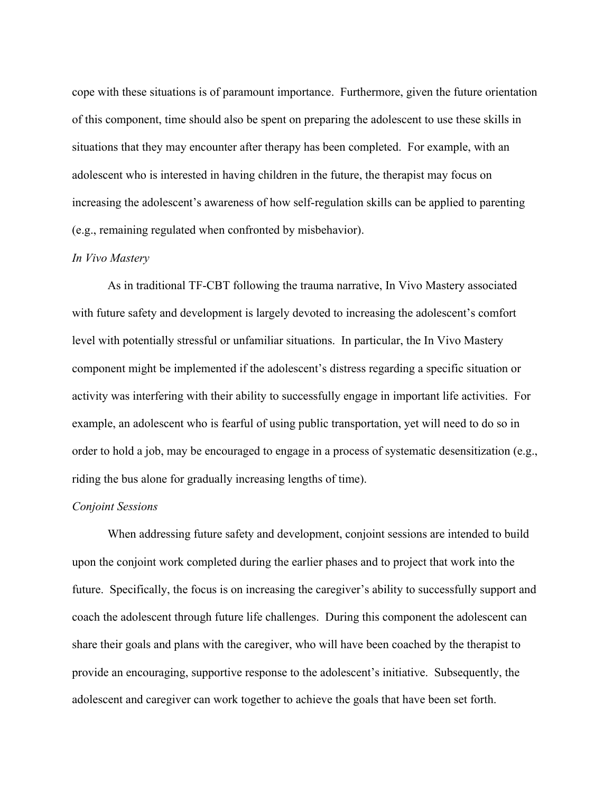cope with these situations is of paramount importance. Furthermore, given the future orientation of this component, time should also be spent on preparing the adolescent to use these skills in situations that they may encounter after therapy has been completed. For example, with an adolescent who is interested in having children in the future, the therapist may focus on increasing the adolescent's awareness of how self-regulation skills can be applied to parenting (e.g., remaining regulated when confronted by misbehavior).

#### *In Vivo Mastery*

As in traditional TF-CBT following the trauma narrative, In Vivo Mastery associated with future safety and development is largely devoted to increasing the adolescent's comfort level with potentially stressful or unfamiliar situations. In particular, the In Vivo Mastery component might be implemented if the adolescent's distress regarding a specific situation or activity was interfering with their ability to successfully engage in important life activities. For example, an adolescent who is fearful of using public transportation, yet will need to do so in order to hold a job, may be encouraged to engage in a process of systematic desensitization (e.g., riding the bus alone for gradually increasing lengths of time).

### *Conjoint Sessions*

When addressing future safety and development, conjoint sessions are intended to build upon the conjoint work completed during the earlier phases and to project that work into the future. Specifically, the focus is on increasing the caregiver's ability to successfully support and coach the adolescent through future life challenges. During this component the adolescent can share their goals and plans with the caregiver, who will have been coached by the therapist to provide an encouraging, supportive response to the adolescent's initiative. Subsequently, the adolescent and caregiver can work together to achieve the goals that have been set forth.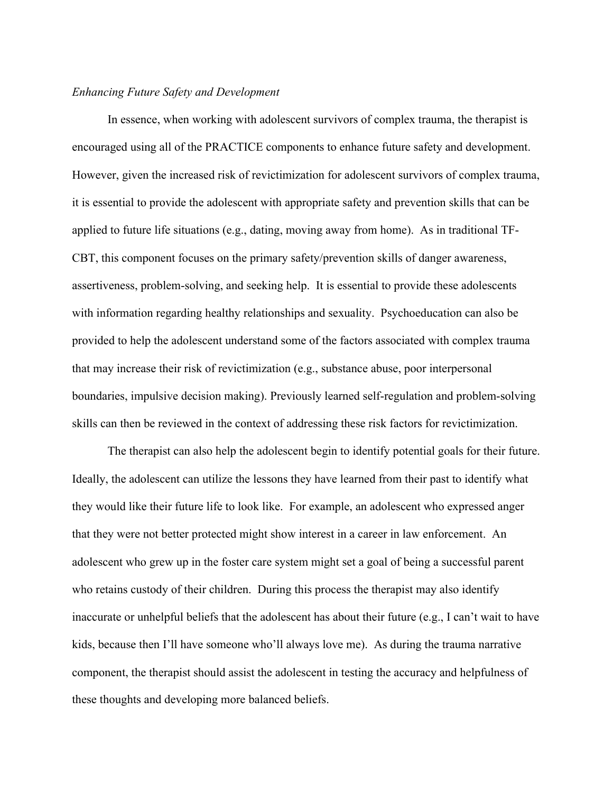### *Enhancing Future Safety and Development*

In essence, when working with adolescent survivors of complex trauma, the therapist is encouraged using all of the PRACTICE components to enhance future safety and development. However, given the increased risk of revictimization for adolescent survivors of complex trauma, it is essential to provide the adolescent with appropriate safety and prevention skills that can be applied to future life situations (e.g., dating, moving away from home). As in traditional TF-CBT, this component focuses on the primary safety/prevention skills of danger awareness, assertiveness, problem-solving, and seeking help. It is essential to provide these adolescents with information regarding healthy relationships and sexuality. Psychoeducation can also be provided to help the adolescent understand some of the factors associated with complex trauma that may increase their risk of revictimization (e.g., substance abuse, poor interpersonal boundaries, impulsive decision making). Previously learned self-regulation and problem-solving skills can then be reviewed in the context of addressing these risk factors for revictimization.

The therapist can also help the adolescent begin to identify potential goals for their future. Ideally, the adolescent can utilize the lessons they have learned from their past to identify what they would like their future life to look like. For example, an adolescent who expressed anger that they were not better protected might show interest in a career in law enforcement. An adolescent who grew up in the foster care system might set a goal of being a successful parent who retains custody of their children. During this process the therapist may also identify inaccurate or unhelpful beliefs that the adolescent has about their future (e.g., I can't wait to have kids, because then I'll have someone who'll always love me). As during the trauma narrative component, the therapist should assist the adolescent in testing the accuracy and helpfulness of these thoughts and developing more balanced beliefs.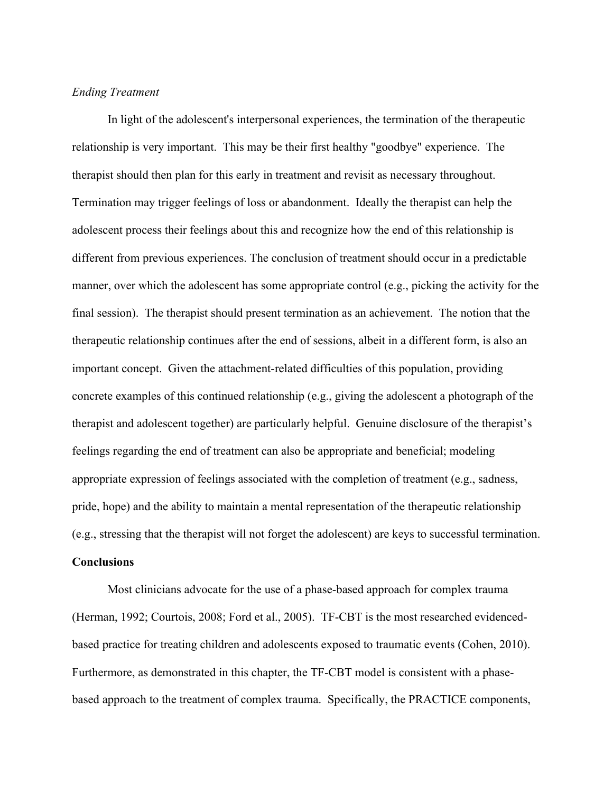### *Ending Treatment*

In light of the adolescent's interpersonal experiences, the termination of the therapeutic relationship is very important. This may be their first healthy "goodbye" experience. The therapist should then plan for this early in treatment and revisit as necessary throughout. Termination may trigger feelings of loss or abandonment. Ideally the therapist can help the adolescent process their feelings about this and recognize how the end of this relationship is different from previous experiences. The conclusion of treatment should occur in a predictable manner, over which the adolescent has some appropriate control (e.g., picking the activity for the final session). The therapist should present termination as an achievement. The notion that the therapeutic relationship continues after the end of sessions, albeit in a different form, is also an important concept. Given the attachment-related difficulties of this population, providing concrete examples of this continued relationship (e.g., giving the adolescent a photograph of the therapist and adolescent together) are particularly helpful. Genuine disclosure of the therapist's feelings regarding the end of treatment can also be appropriate and beneficial; modeling appropriate expression of feelings associated with the completion of treatment (e.g., sadness, pride, hope) and the ability to maintain a mental representation of the therapeutic relationship (e.g., stressing that the therapist will not forget the adolescent) are keys to successful termination. **Conclusions**

Most clinicians advocate for the use of a phase-based approach for complex trauma (Herman, 1992; Courtois, 2008; Ford et al., 2005). TF-CBT is the most researched evidencedbased practice for treating children and adolescents exposed to traumatic events (Cohen, 2010). Furthermore, as demonstrated in this chapter, the TF-CBT model is consistent with a phasebased approach to the treatment of complex trauma. Specifically, the PRACTICE components,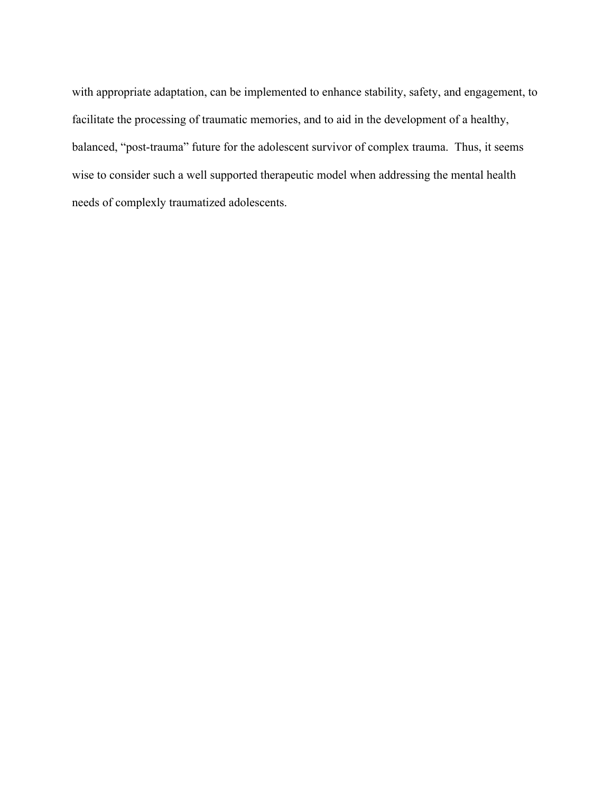with appropriate adaptation, can be implemented to enhance stability, safety, and engagement, to facilitate the processing of traumatic memories, and to aid in the development of a healthy, balanced, "post-trauma" future for the adolescent survivor of complex trauma. Thus, it seems wise to consider such a well supported therapeutic model when addressing the mental health needs of complexly traumatized adolescents.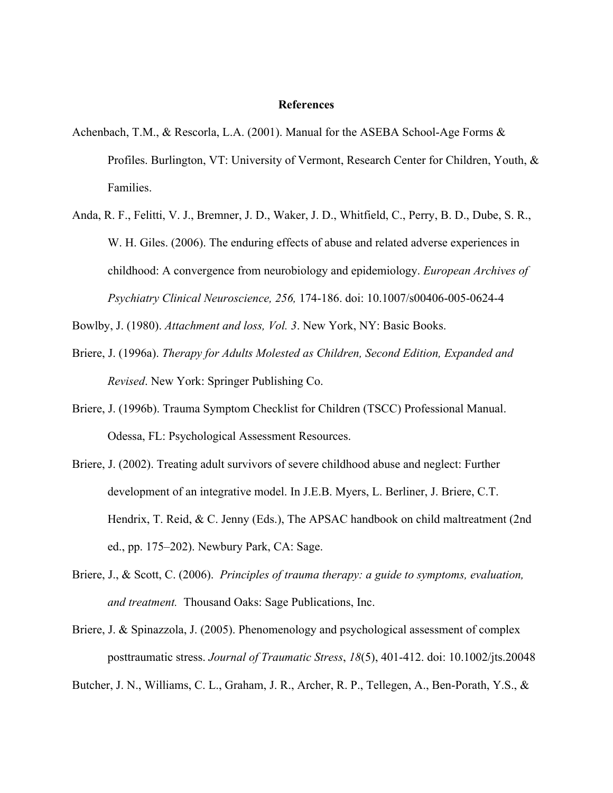#### **References**

- Achenbach, T.M., & Rescorla, L.A. (2001). Manual for the ASEBA School-Age Forms & Profiles. Burlington, VT: University of Vermont, Research Center for Children, Youth, & Families.
- Anda, R. F., Felitti, V. J., Bremner, J. D., Waker, J. D., Whitfield, C., Perry, B. D., Dube, S. R., W. H. Giles. (2006). The enduring effects of abuse and related adverse experiences in childhood: A convergence from neurobiology and epidemiology. *European Archives of Psychiatry Clinical Neuroscience, 256,* 174-186. doi: 10.1007/s00406-005-0624-4

Bowlby, J. (1980). *Attachment and loss, Vol. 3*. New York, NY: Basic Books.

- Briere, J. (1996a). *Therapy for Adults Molested as Children, Second Edition, Expanded and Revised*. New York: Springer Publishing Co.
- Briere, J. (1996b). Trauma Symptom Checklist for Children (TSCC) Professional Manual. Odessa, FL: Psychological Assessment Resources.
- Briere, J. (2002). Treating adult survivors of severe childhood abuse and neglect: Further development of an integrative model. In J.E.B. Myers, L. Berliner, J. Briere, C.T. Hendrix, T. Reid, & C. Jenny (Eds.), The APSAC handbook on child maltreatment (2nd ed., pp. 175–202). Newbury Park, CA: Sage.
- Briere, J., & Scott, C. (2006). *Principles of trauma therapy: a guide to symptoms, evaluation, and treatment.* Thousand Oaks: Sage Publications, Inc.
- Briere, J. & Spinazzola, J. (2005). Phenomenology and psychological assessment of complex posttraumatic stress. *Journal of Traumatic Stress*, *18*(5), 401-412. doi: 10.1002/jts.20048

Butcher, J. N., Williams, C. L., Graham, J. R., Archer, R. P., Tellegen, A., Ben-Porath, Y.S., &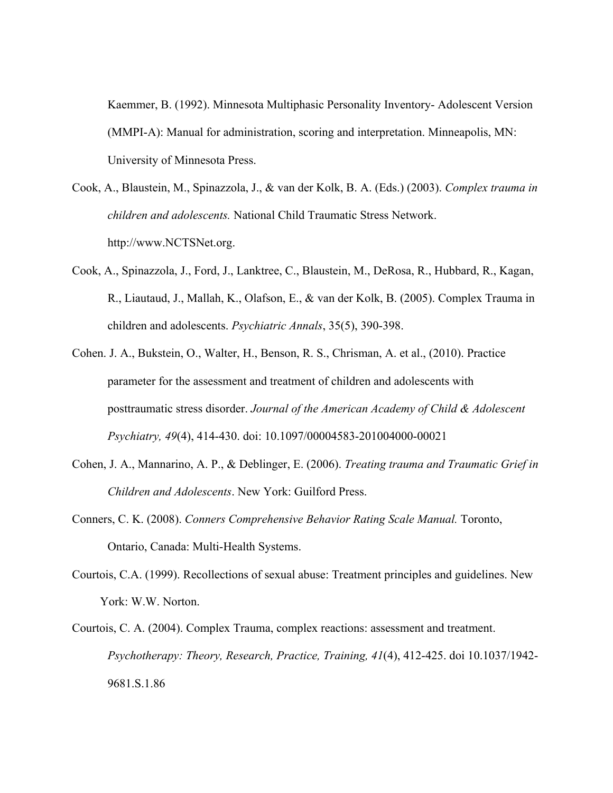Kaemmer, B. (1992). Minnesota Multiphasic Personality Inventory- Adolescent Version (MMPI-A): Manual for administration, scoring and interpretation. Minneapolis, MN: University of Minnesota Press.

- Cook, A., Blaustein, M., Spinazzola, J., & van der Kolk, B. A. (Eds.) (2003). *Complex trauma in children and adolescents.* National Child Traumatic Stress Network. http://www.NCTSNet.org.
- Cook, A., Spinazzola, J., Ford, J., Lanktree, C., Blaustein, M., DeRosa, R., Hubbard, R., Kagan, R., Liautaud, J., Mallah, K., Olafson, E., & van der Kolk, B. (2005). Complex Trauma in children and adolescents. *Psychiatric Annals*, 35(5), 390-398.
- Cohen. J. A., Bukstein, O., Walter, H., Benson, R. S., Chrisman, A. et al., (2010). Practice parameter for the assessment and treatment of children and adolescents with posttraumatic stress disorder. *Journal of the American Academy of Child & Adolescent Psychiatry, 49*(4), 414-430. doi: 10.1097/00004583-201004000-00021
- Cohen, J. A., Mannarino, A. P., & Deblinger, E. (2006). *Treating trauma and Traumatic Grief in Children and Adolescents*. New York: Guilford Press.
- Conners, C. K. (2008). *Conners Comprehensive Behavior Rating Scale Manual.* Toronto, Ontario, Canada: Multi-Health Systems.
- Courtois, C.A. (1999). Recollections of sexual abuse: Treatment principles and guidelines. New York: W.W. Norton.
- Courtois, C. A. (2004). Complex Trauma, complex reactions: assessment and treatment. *Psychotherapy: Theory, Research, Practice, Training, 41*(4), 412-425. doi 10.1037/1942- 9681.S.1.86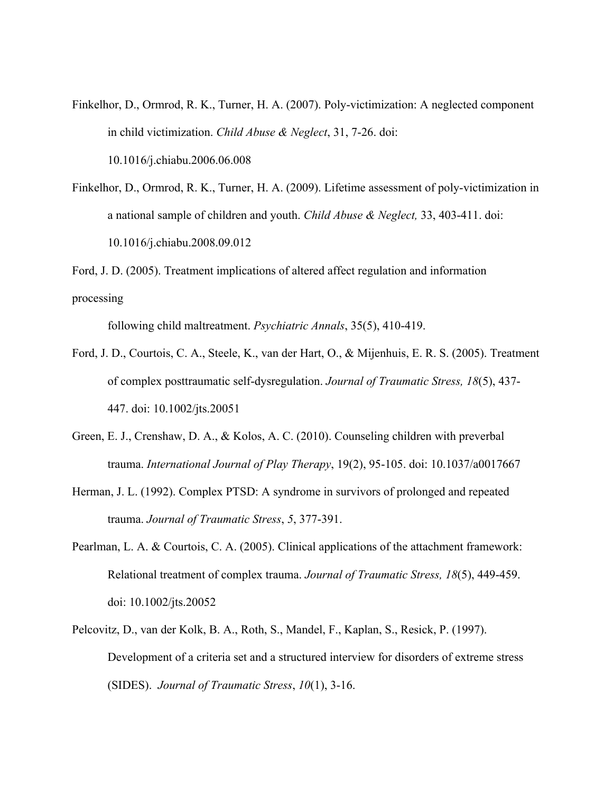- Finkelhor, D., Ormrod, R. K., Turner, H. A. (2007). Poly-victimization: A neglected component in child victimization. *Child Abuse & Neglect*, 31, 7-26. doi: 10.1016/j.chiabu.2006.06.008
- Finkelhor, D., Ormrod, R. K., Turner, H. A. (2009). Lifetime assessment of poly-victimization in a national sample of children and youth. *Child Abuse & Neglect,* 33, 403-411. doi: 10.1016/j.chiabu.2008.09.012

Ford, J. D. (2005). Treatment implications of altered affect regulation and information processing

following child maltreatment. *Psychiatric Annals*, 35(5), 410-419.

- Ford, J. D., Courtois, C. A., Steele, K., van der Hart, O., & Mijenhuis, E. R. S. (2005). Treatment of complex posttraumatic self-dysregulation. *Journal of Traumatic Stress, 18*(5), 437- 447. doi: 10.1002/jts.20051
- Green, E. J., Crenshaw, D. A., & Kolos, A. C. (2010). Counseling children with preverbal trauma. *International Journal of Play Therapy*, 19(2), 95-105. doi: 10.1037/a0017667
- Herman, J. L. (1992). Complex PTSD: A syndrome in survivors of prolonged and repeated trauma. *Journal of Traumatic Stress*, *5*, 377-391.
- Pearlman, L. A. & Courtois, C. A. (2005). Clinical applications of the attachment framework: Relational treatment of complex trauma. *Journal of Traumatic Stress, 18*(5), 449-459. doi: 10.1002/jts.20052
- Pelcovitz, D., van der Kolk, B. A., Roth, S., Mandel, F., Kaplan, S., Resick, P. (1997). Development of a criteria set and a structured interview for disorders of extreme stress (SIDES). *Journal of Traumatic Stress*, *10*(1), 3-16.